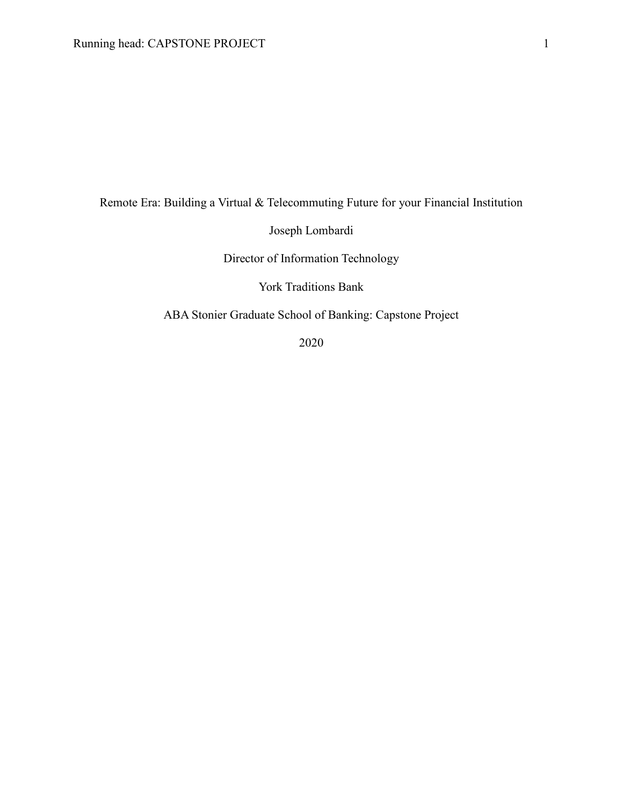Remote Era: Building a Virtual & Telecommuting Future for your Financial Institution

Joseph Lombardi

Director of Information Technology

York Traditions Bank

ABA Stonier Graduate School of Banking: Capstone Project

2020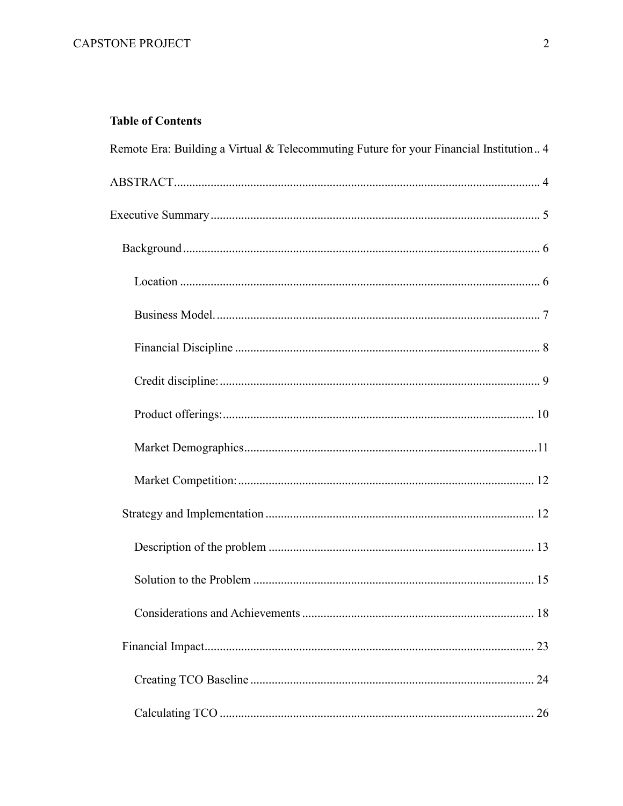# **Table of Contents**

| Remote Era: Building a Virtual & Telecommuting Future for your Financial Institution 4 |
|----------------------------------------------------------------------------------------|
|                                                                                        |
|                                                                                        |
|                                                                                        |
|                                                                                        |
|                                                                                        |
|                                                                                        |
|                                                                                        |
|                                                                                        |
|                                                                                        |
|                                                                                        |
|                                                                                        |
|                                                                                        |
|                                                                                        |
|                                                                                        |
|                                                                                        |
|                                                                                        |
|                                                                                        |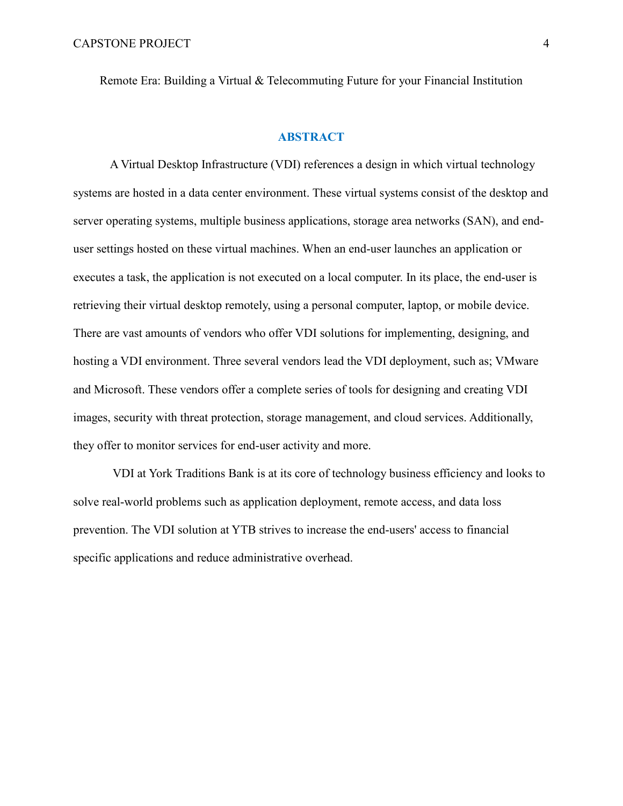<span id="page-3-0"></span>Remote Era: Building a Virtual & Telecommuting Future for your Financial Institution

### **ABSTRACT**

<span id="page-3-1"></span>A Virtual Desktop Infrastructure (VDI) references a design in which virtual technology systems are hosted in a data center environment. These virtual systems consist of the desktop and server operating systems, multiple business applications, storage area networks (SAN), and enduser settings hosted on these virtual machines. When an end-user launches an application or executes a task, the application is not executed on a local computer. In its place, the end-user is retrieving their virtual desktop remotely, using a personal computer, laptop, or mobile device. There are vast amounts of vendors who offer VDI solutions for implementing, designing, and hosting a VDI environment. Three several vendors lead the VDI deployment, such as; VMware and Microsoft. These vendors offer a complete series of tools for designing and creating VDI images, security with threat protection, storage management, and cloud services. Additionally, they offer to monitor services for end-user activity and more.

VDI at York Traditions Bank is at its core of technology business efficiency and looks to solve real-world problems such as application deployment, remote access, and data loss prevention. The VDI solution at YTB strives to increase the end-users' access to financial specific applications and reduce administrative overhead.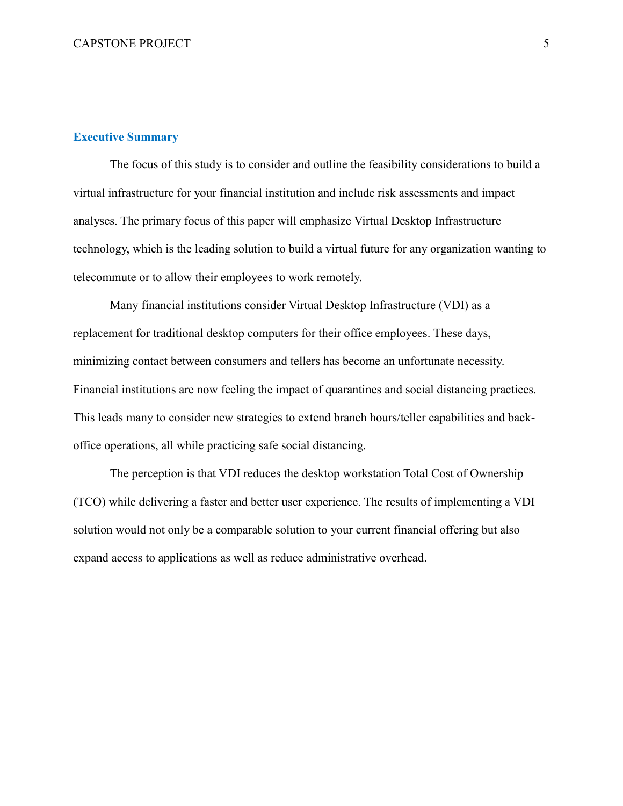### <span id="page-4-0"></span>**Executive Summary**

The focus of this study is to consider and outline the feasibility considerations to build a virtual infrastructure for your financial institution and include risk assessments and impact analyses. The primary focus of this paper will emphasize Virtual Desktop Infrastructure technology, which is the leading solution to build a virtual future for any organization wanting to telecommute or to allow their employees to work remotely.

Many financial institutions consider Virtual Desktop Infrastructure (VDI) as a replacement for traditional desktop computers for their office employees. These days, minimizing contact between consumers and tellers has become an unfortunate necessity. Financial institutions are now feeling the impact of quarantines and social distancing practices. This leads many to consider new strategies to extend branch hours/teller capabilities and backoffice operations, all while practicing safe social distancing.

The perception is that VDI reduces the desktop workstation Total Cost of Ownership (TCO) while delivering a faster and better user experience. The results of implementing a VDI solution would not only be a comparable solution to your current financial offering but also expand access to applications as well as reduce administrative overhead.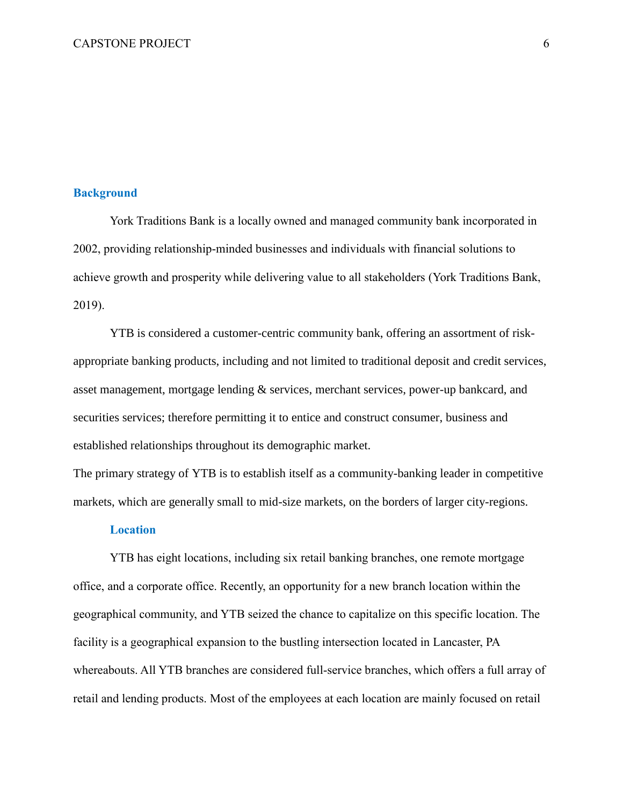### <span id="page-5-0"></span>**Background**

York Traditions Bank is a locally owned and managed community bank incorporated in 2002, providing relationship-minded businesses and individuals with financial solutions to achieve growth and prosperity while delivering value to all stakeholders (York Traditions Bank, 2019).

YTB is considered a customer-centric community bank, offering an assortment of riskappropriate banking products, including and not limited to traditional deposit and credit services, asset management, mortgage lending & services, merchant services, power-up bankcard, and securities services; therefore permitting it to entice and construct consumer, business and established relationships throughout its demographic market.

The primary strategy of YTB is to establish itself as a community-banking leader in competitive markets, which are generally small to mid-size markets, on the borders of larger city-regions.

### **Location**

<span id="page-5-1"></span>YTB has eight locations, including six retail banking branches, one remote mortgage office, and a corporate office. Recently, an opportunity for a new branch location within the geographical community, and YTB seized the chance to capitalize on this specific location. The facility is a geographical expansion to the bustling intersection located in Lancaster, PA whereabouts. All YTB branches are considered full-service branches, which offers a full array of retail and lending products. Most of the employees at each location are mainly focused on retail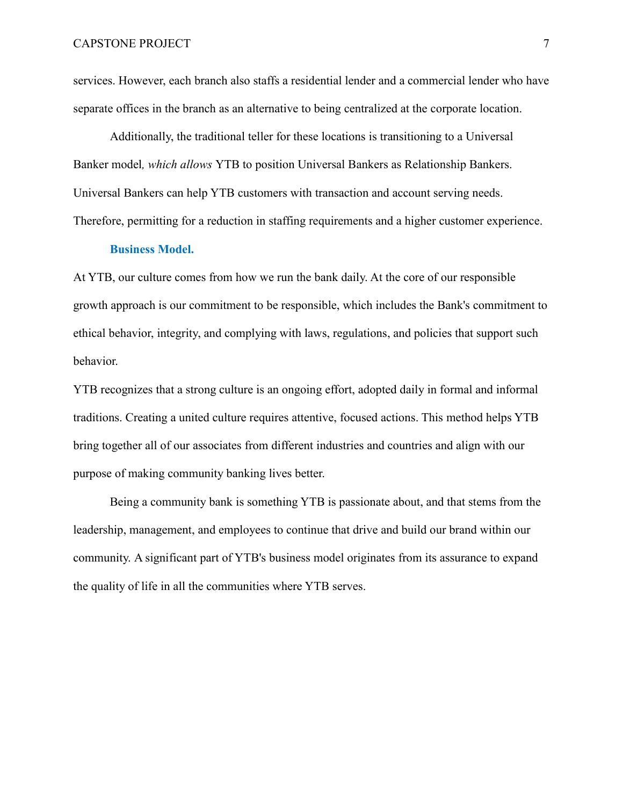services. However, each branch also staffs a residential lender and a commercial lender who have separate offices in the branch as an alternative to being centralized at the corporate location.

Additionally, the traditional teller for these locations is transitioning to a Universal Banker model*, which allows* YTB to position Universal Bankers as Relationship Bankers. Universal Bankers can help YTB customers with transaction and account serving needs. Therefore, permitting for a reduction in staffing requirements and a higher customer experience.

### **Business Model.**

<span id="page-6-0"></span>At YTB, our culture comes from how we run the bank daily. At the core of our responsible growth approach is our commitment to be responsible, which includes the Bank's commitment to ethical behavior, integrity, and complying with laws, regulations, and policies that support such behavior.

YTB recognizes that a strong culture is an ongoing effort, adopted daily in formal and informal traditions. Creating a united culture requires attentive, focused actions. This method helps YTB bring together all of our associates from different industries and countries and align with our purpose of making community banking lives better.

Being a community bank is something YTB is passionate about, and that stems from the leadership, management, and employees to continue that drive and build our brand within our community. A significant part of YTB's business model originates from its assurance to expand the quality of life in all the communities where YTB serves.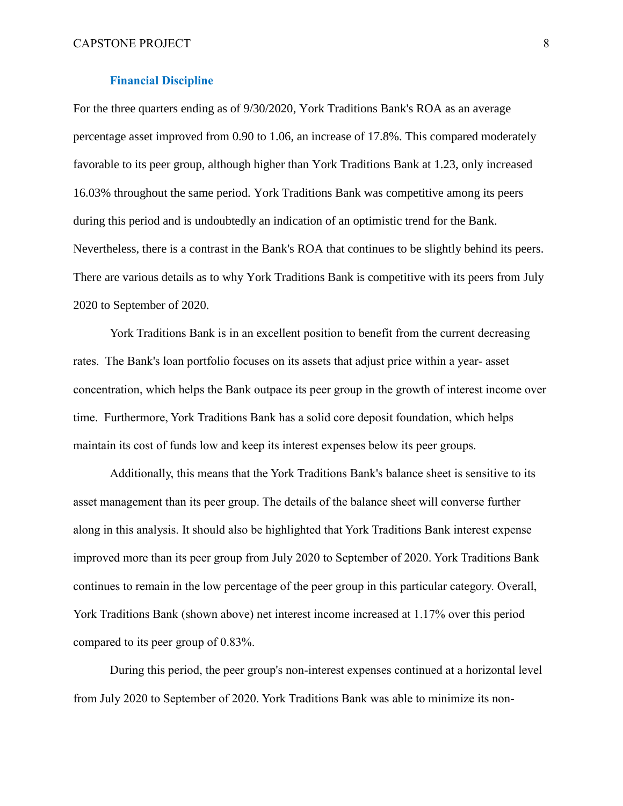#### **Financial Discipline**

<span id="page-7-0"></span>For the three quarters ending as of 9/30/2020, York Traditions Bank's ROA as an average percentage asset improved from 0.90 to 1.06, an increase of 17.8%. This compared moderately favorable to its peer group, although higher than York Traditions Bank at 1.23, only increased 16.03% throughout the same period. York Traditions Bank was competitive among its peers during this period and is undoubtedly an indication of an optimistic trend for the Bank. Nevertheless, there is a contrast in the Bank's ROA that continues to be slightly behind its peers. There are various details as to why York Traditions Bank is competitive with its peers from July 2020 to September of 2020.

York Traditions Bank is in an excellent position to benefit from the current decreasing rates. The Bank's loan portfolio focuses on its assets that adjust price within a year- asset concentration, which helps the Bank outpace its peer group in the growth of interest income over time. Furthermore, York Traditions Bank has a solid core deposit foundation, which helps maintain its cost of funds low and keep its interest expenses below its peer groups.

Additionally, this means that the York Traditions Bank's balance sheet is sensitive to its asset management than its peer group. The details of the balance sheet will converse further along in this analysis. It should also be highlighted that York Traditions Bank interest expense improved more than its peer group from July 2020 to September of 2020. York Traditions Bank continues to remain in the low percentage of the peer group in this particular category. Overall, York Traditions Bank (shown above) net interest income increased at 1.17% over this period compared to its peer group of 0.83%.

During this period, the peer group's non-interest expenses continued at a horizontal level from July 2020 to September of 2020. York Traditions Bank was able to minimize its non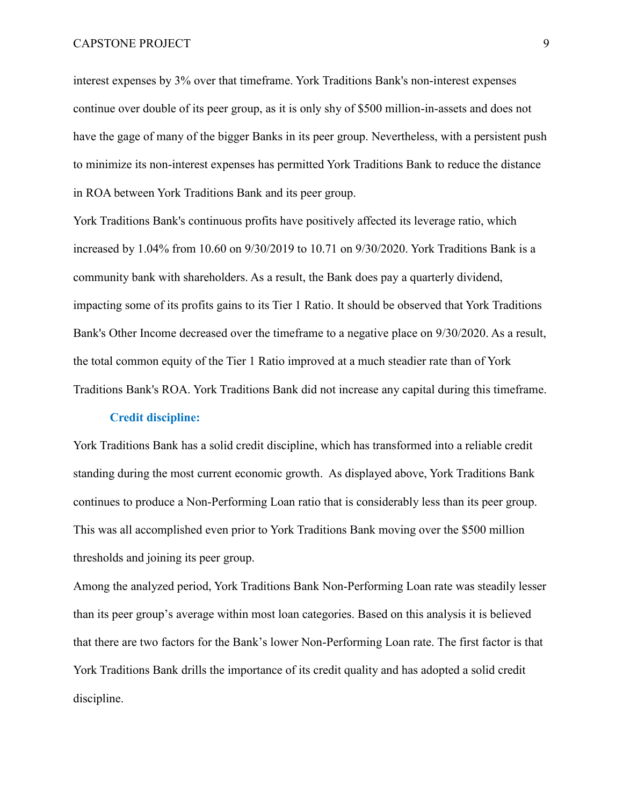interest expenses by 3% over that timeframe. York Traditions Bank's non-interest expenses continue over double of its peer group, as it is only shy of \$500 million-in-assets and does not have the gage of many of the bigger Banks in its peer group. Nevertheless, with a persistent push to minimize its non-interest expenses has permitted York Traditions Bank to reduce the distance in ROA between York Traditions Bank and its peer group.

York Traditions Bank's continuous profits have positively affected its leverage ratio, which increased by 1.04% from 10.60 on 9/30/2019 to 10.71 on 9/30/2020. York Traditions Bank is a community bank with shareholders. As a result, the Bank does pay a quarterly dividend, impacting some of its profits gains to its Tier 1 Ratio. It should be observed that York Traditions Bank's Other Income decreased over the timeframe to a negative place on 9/30/2020. As a result, the total common equity of the Tier 1 Ratio improved at a much steadier rate than of York Traditions Bank's ROA. York Traditions Bank did not increase any capital during this timeframe.

#### **Credit discipline:**

<span id="page-8-0"></span>York Traditions Bank has a solid credit discipline, which has transformed into a reliable credit standing during the most current economic growth. As displayed above, York Traditions Bank continues to produce a Non-Performing Loan ratio that is considerably less than its peer group. This was all accomplished even prior to York Traditions Bank moving over the \$500 million thresholds and joining its peer group.

Among the analyzed period, York Traditions Bank Non-Performing Loan rate was steadily lesser than its peer group's average within most loan categories. Based on this analysis it is believed that there are two factors for the Bank's lower Non-Performing Loan rate. The first factor is that York Traditions Bank drills the importance of its credit quality and has adopted a solid credit discipline.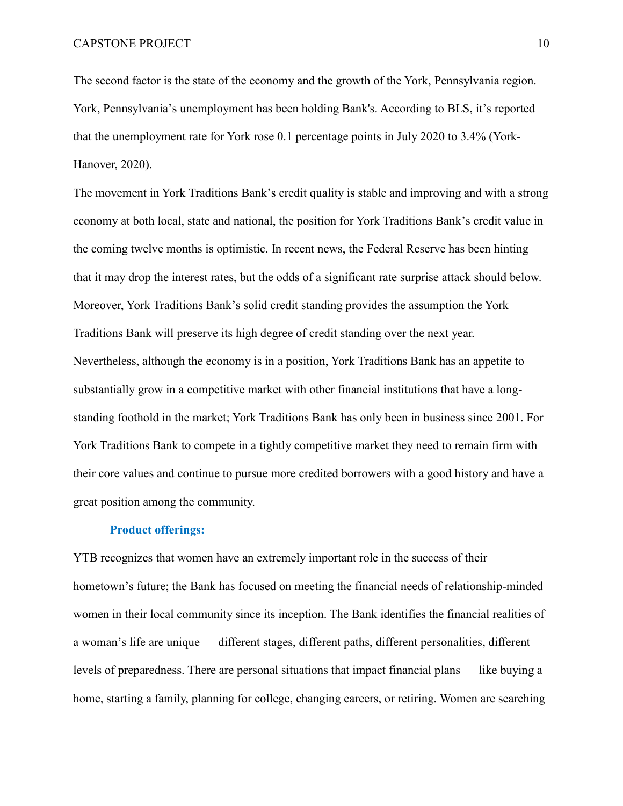The second factor is the state of the economy and the growth of the York, Pennsylvania region. York, Pennsylvania's unemployment has been holding Bank's. According to BLS, it's reported that the unemployment rate for York rose 0.1 percentage points in July 2020 to 3.4% (York-Hanover, 2020).

The movement in York Traditions Bank's credit quality is stable and improving and with a strong economy at both local, state and national, the position for York Traditions Bank's credit value in the coming twelve months is optimistic. In recent news, the Federal Reserve has been hinting that it may drop the interest rates, but the odds of a significant rate surprise attack should below. Moreover, York Traditions Bank's solid credit standing provides the assumption the York Traditions Bank will preserve its high degree of credit standing over the next year. Nevertheless, although the economy is in a position, York Traditions Bank has an appetite to substantially grow in a competitive market with other financial institutions that have a longstanding foothold in the market; York Traditions Bank has only been in business since 2001. For York Traditions Bank to compete in a tightly competitive market they need to remain firm with their core values and continue to pursue more credited borrowers with a good history and have a great position among the community.

#### **Product offerings:**

<span id="page-9-0"></span>YTB recognizes that women have an extremely important role in the success of their hometown's future; the Bank has focused on meeting the financial needs of relationship-minded women in their local community since its inception. The Bank identifies the financial realities of a woman's life are unique — different stages, different paths, different personalities, different levels of preparedness. There are personal situations that impact financial plans — like buying a home, starting a family, planning for college, changing careers, or retiring. Women are searching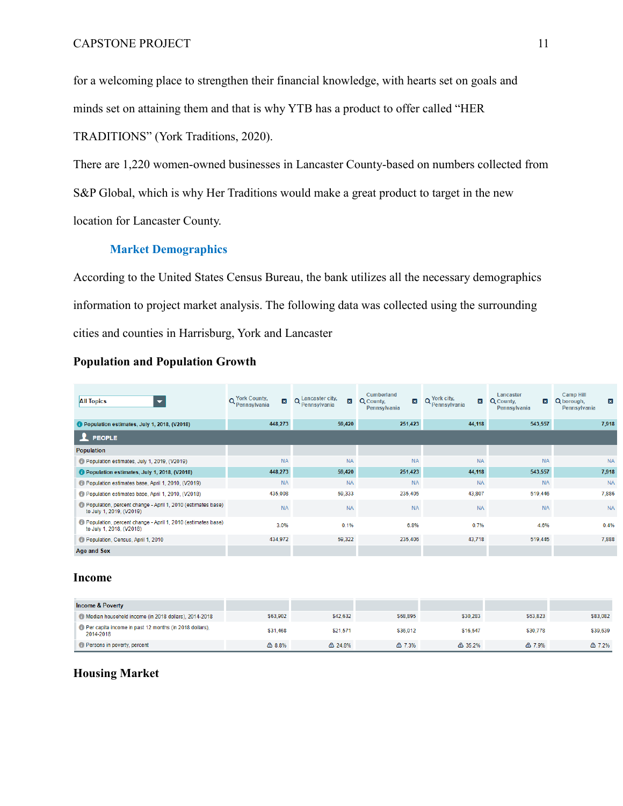for a welcoming place to strengthen their financial knowledge, with hearts set on goals and minds set on attaining them and that is why YTB has a product to offer called "HER

TRADITIONS" (York Traditions, 2020).

There are 1,220 women-owned businesses in Lancaster County-based on numbers collected from S&P Global, which is why Her Traditions would make a great product to target in the new location for Lancaster County.

### **Market Demographics**

<span id="page-10-0"></span>According to the United States Census Bureau, the bank utilizes all the necessary demographics information to project market analysis. The following data was collected using the surrounding cities and counties in Harrisburg, York and Lancaster

| <b>All Topics</b>                                                                                | o York County,<br>$\mathbf{x}$<br>*Pennsylvania | Q Lancaster city,<br>$\mathbf{x}$<br>' Pennsylvania | Cumberland<br>$\vert x \vert$<br>Q County.<br>Pennsylvania | York city.<br>$\vert x \vert$<br>Pennsylvania | Lancaster<br>Q County.<br>$\vert x \vert$<br>Pennsylvania | <b>Camp Hill</b><br>Q borough.<br>$\vert x \vert$<br>Pennsylvania |  |  |
|--------------------------------------------------------------------------------------------------|-------------------------------------------------|-----------------------------------------------------|------------------------------------------------------------|-----------------------------------------------|-----------------------------------------------------------|-------------------------------------------------------------------|--|--|
| Population estimates, July 1, 2018, (V2018)                                                      | 59,420<br>448,273                               |                                                     | 251,423                                                    | 44,118                                        | 543,557                                                   | 7,918                                                             |  |  |
| $\mathbf 1$ PEOPLE                                                                               |                                                 |                                                     |                                                            |                                               |                                                           |                                                                   |  |  |
| <b>Population</b>                                                                                |                                                 |                                                     |                                                            |                                               |                                                           |                                                                   |  |  |
| Population estimates, July 1, 2019, (V2019)                                                      | <b>NA</b>                                       | <b>NA</b>                                           | <b>NA</b>                                                  | <b>NA</b>                                     | <b>NA</b>                                                 | <b>NA</b>                                                         |  |  |
| Population estimates, July 1, 2018, (V2018)                                                      | 448,273                                         | 59,420                                              | 251,423                                                    | 44,118                                        | 543,557                                                   | 7,918                                                             |  |  |
| C Population estimates base, April 1, 2010, (V2019)                                              | <b>NA</b>                                       | <b>NA</b>                                           | <b>NA</b>                                                  | <b>NA</b>                                     | <b>NA</b>                                                 | <b>NA</b>                                                         |  |  |
| Population estimates base, April 1, 2010, (V2018)                                                | 435,008                                         | 59.333                                              | 235,405                                                    | 43,807                                        | 519,446                                                   | 7,886                                                             |  |  |
| <b>D</b> Population, percent change - April 1, 2010 (estimates base)<br>to July 1, 2019, (V2019) | <b>NA</b>                                       | <b>NA</b>                                           | <b>NA</b>                                                  | <b>NA</b>                                     | <b>NA</b>                                                 | <b>NA</b>                                                         |  |  |
| Population, percent change - April 1, 2010 (estimates base)<br>to July 1, 2018, (V2018)          | 3.0%                                            | 0.1%                                                | 6.8%                                                       | 0.7%                                          | 4.6%                                                      | 0.4%                                                              |  |  |
| Population, Census, April 1, 2010                                                                | 434,972                                         | 59,322                                              | 235,406                                                    | 43,718                                        | 519,445                                                   | 7,888                                                             |  |  |
| Age and Sex                                                                                      |                                                 |                                                     |                                                            |                                               |                                                           |                                                                   |  |  |

## **Population and Population Growth**

### **Income**

| <b>Income &amp; Poverty</b>                                         |                  |                   |          |                   |          |          |
|---------------------------------------------------------------------|------------------|-------------------|----------|-------------------|----------|----------|
| Median household income (in 2018 dollars), 2014-2018                | \$63.902         | \$42,632          | \$68,895 | \$30.283          | \$63.823 | \$83.082 |
| Per capita income in past 12 months (in 2018 dollars),<br>2014-2018 | \$31,468         | \$21,571          | \$36,012 | \$16,547          | \$30,778 | \$39,639 |
| Persons in poverty, percent                                         | $\triangle$ 8.8% | $\triangle$ 24.8% | △ 7.3%   | $\triangle$ 35.2% | △ 7.9%   | △ 7.2%   |

## **Housing Market**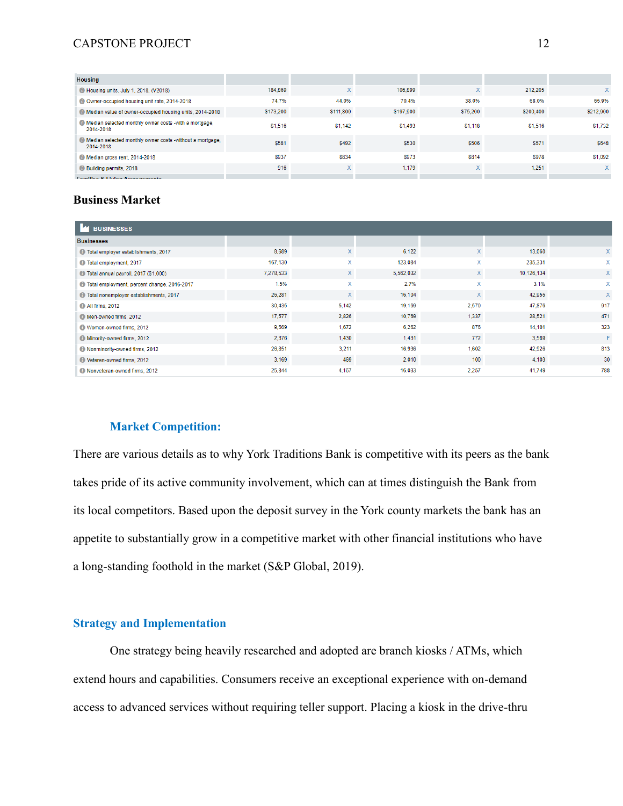### CAPSTONE PROJECT 12

| <b>Housing</b>                                                            |           |              |           |              |           |              |
|---------------------------------------------------------------------------|-----------|--------------|-----------|--------------|-----------|--------------|
| Housing units, July 1, 2018, (V2018)                                      | 184,869   | $\mathsf{X}$ | 106,899   | $\mathsf{X}$ | 212.205   | $\mathsf{X}$ |
| Owner-occupied housing unit rate, 2014-2018                               | 74.7%     | 44.0%        | 70.4%     | 38.0%        | 68.0%     | 65.9%        |
| Median value of owner-occupied housing units, 2014-2018                   | \$173,200 | \$111,800    | \$197,900 | \$75.200     | \$200.400 | \$212,900    |
| Median selected monthly owner costs -with a mortgage.<br>2014-2018        | \$1,516   | \$1,142      | \$1,493   | \$1,118      | \$1,516   | \$1,732      |
| (a) Median selected monthly owner costs -without a mortgage,<br>2014-2018 | \$581     | \$492        | \$530     | \$506        | \$571     | \$648        |
| Median gross rent, 2014-2018                                              | \$937     | \$834        | \$973     | <b>\$814</b> | \$978     | \$1,092      |
| <b>Building permits, 2018</b>                                             | 916       | $\mathsf{X}$ | 1,179     | $\mathsf{x}$ | 1.251     | X.           |
| Familian 8 Living Arrangements                                            |           |              |           |              |           |              |

## **Business Market**

| <b>BUSINESSES</b>                              |           |              |           |              |            |              |  |
|------------------------------------------------|-----------|--------------|-----------|--------------|------------|--------------|--|
| <b>Businesses</b>                              |           |              |           |              |            |              |  |
| Total employer establishments, 2017            | 8,689     | $\mathsf{X}$ | 6,122     | X            | 13,060     | $\mathsf{X}$ |  |
| <b>1</b> Total employment, 2017                | 167,130   | X            | 123,084   | X            | 235,331    | X            |  |
| 10 Total annual payroll, 2017 (\$1,000)        | 7,278,533 | $\mathsf{X}$ | 5,562,032 | $\mathsf{X}$ | 10,126,134 | X            |  |
| 17 Total employment, percent change, 2016-2017 | 1.5%      | X            | 2.7%      | x            | 3.1%       | X            |  |
| 17 Total nonemployer establishments, 2017      | 26,281    | $\mathsf{X}$ | 16,104    | $\mathsf{X}$ | 42,955     | $\mathsf{X}$ |  |
| <b>C</b> All firms, 2012                       | 30,435    | 5,142        | 19,169    | 2,570        | 47,876     | 917          |  |
| Men-owned firms, 2012                          | 17,577    | 2.826        | 10,769    | 1,337        | 28,521     | 471          |  |
| Women-owned firms, 2012                        | 9,569     | 1,672        | 6,262     | 876          | 14,101     | 323          |  |
| Minority-owned firms, 2012                     | 2,376     | 1,430        | 1,431     | 772          | 3,569      | F            |  |
| Nonminority-owned firms, 2012                  | 26,851    | 3,211        | 16,936    | 1,602        | 42,926     | 813          |  |
| Veteran-owned firms, 2012                      | 3.169     | 469          | 2,010     | 100          | 4,103      | 30           |  |
| Nonveteran-owned firms, 2012                   | 25,844    | 4,167        | 16,033    | 2,257        | 41,749     | 788          |  |

## **Market Competition:**

<span id="page-11-0"></span>There are various details as to why York Traditions Bank is competitive with its peers as the bank takes pride of its active community involvement, which can at times distinguish the Bank from its local competitors. Based upon the deposit survey in the York county markets the bank has an appetite to substantially grow in a competitive market with other financial institutions who have a long-standing foothold in the market (S&P Global, 2019).

# <span id="page-11-1"></span>**Strategy and Implementation**

One strategy being heavily researched and adopted are branch kiosks / ATMs, which extend hours and capabilities. Consumers receive an exceptional experience with on-demand access to advanced services without requiring teller support. Placing a kiosk in the drive-thru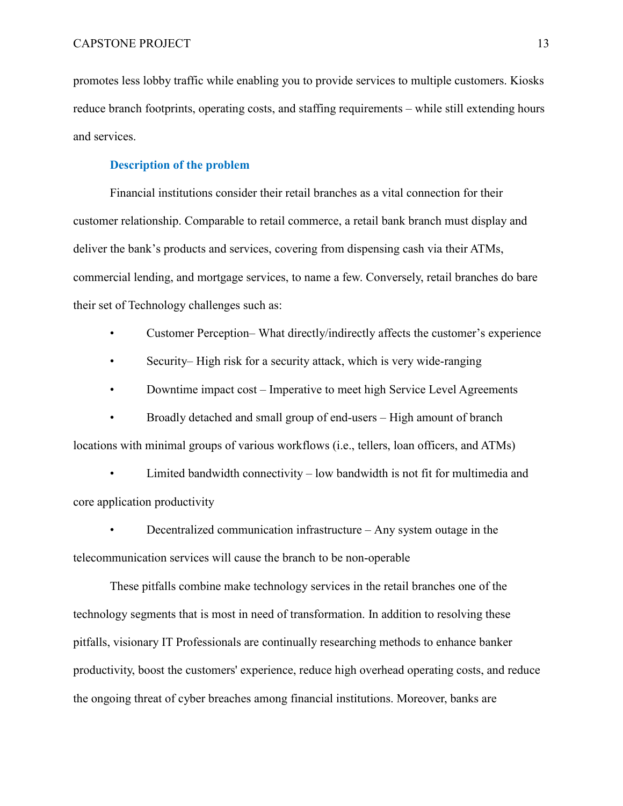promotes less lobby traffic while enabling you to provide services to multiple customers. Kiosks reduce branch footprints, operating costs, and staffing requirements – while still extending hours and services.

### **Description of the problem**

<span id="page-12-0"></span>Financial institutions consider their retail branches as a vital connection for their customer relationship. Comparable to retail commerce, a retail bank branch must display and deliver the bank's products and services, covering from dispensing cash via their ATMs, commercial lending, and mortgage services, to name a few. Conversely, retail branches do bare their set of Technology challenges such as:

- Customer Perception– What directly/indirectly affects the customer's experience
- Security– High risk for a security attack, which is very wide-ranging
- Downtime impact cost Imperative to meet high Service Level Agreements

• Broadly detached and small group of end-users – High amount of branch locations with minimal groups of various workflows (i.e., tellers, loan officers, and ATMs)

• Limited bandwidth connectivity – low bandwidth is not fit for multimedia and core application productivity

• Decentralized communication infrastructure – Any system outage in the telecommunication services will cause the branch to be non-operable

These pitfalls combine make technology services in the retail branches one of the technology segments that is most in need of transformation. In addition to resolving these pitfalls, visionary IT Professionals are continually researching methods to enhance banker productivity, boost the customers' experience, reduce high overhead operating costs, and reduce the ongoing threat of cyber breaches among financial institutions. Moreover, banks are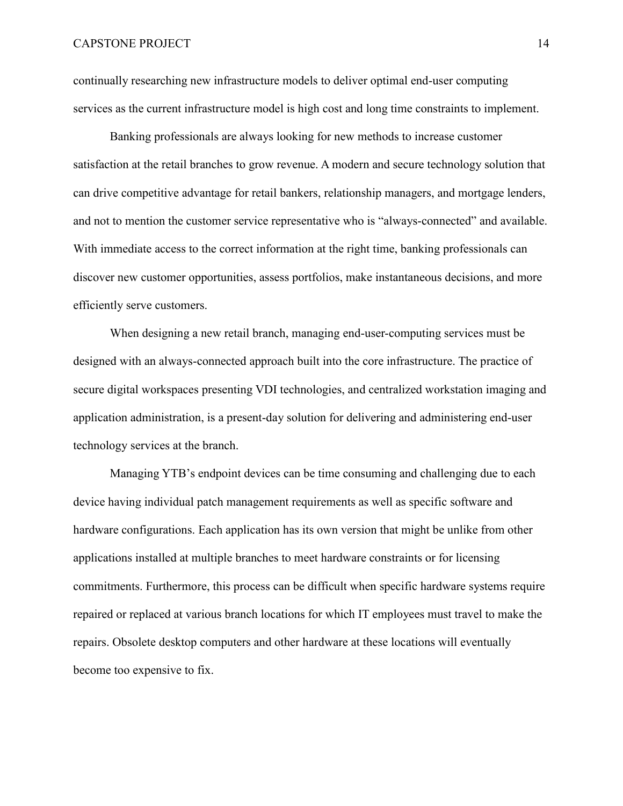continually researching new infrastructure models to deliver optimal end-user computing services as the current infrastructure model is high cost and long time constraints to implement.

Banking professionals are always looking for new methods to increase customer satisfaction at the retail branches to grow revenue. A modern and secure technology solution that can drive competitive advantage for retail bankers, relationship managers, and mortgage lenders, and not to mention the customer service representative who is "always-connected" and available. With immediate access to the correct information at the right time, banking professionals can discover new customer opportunities, assess portfolios, make instantaneous decisions, and more efficiently serve customers.

When designing a new retail branch, managing end-user-computing services must be designed with an always-connected approach built into the core infrastructure. The practice of secure digital workspaces presenting VDI technologies, and centralized workstation imaging and application administration, is a present-day solution for delivering and administering end-user technology services at the branch.

Managing YTB's endpoint devices can be time consuming and challenging due to each device having individual patch management requirements as well as specific software and hardware configurations. Each application has its own version that might be unlike from other applications installed at multiple branches to meet hardware constraints or for licensing commitments. Furthermore, this process can be difficult when specific hardware systems require repaired or replaced at various branch locations for which IT employees must travel to make the repairs. Obsolete desktop computers and other hardware at these locations will eventually become too expensive to fix.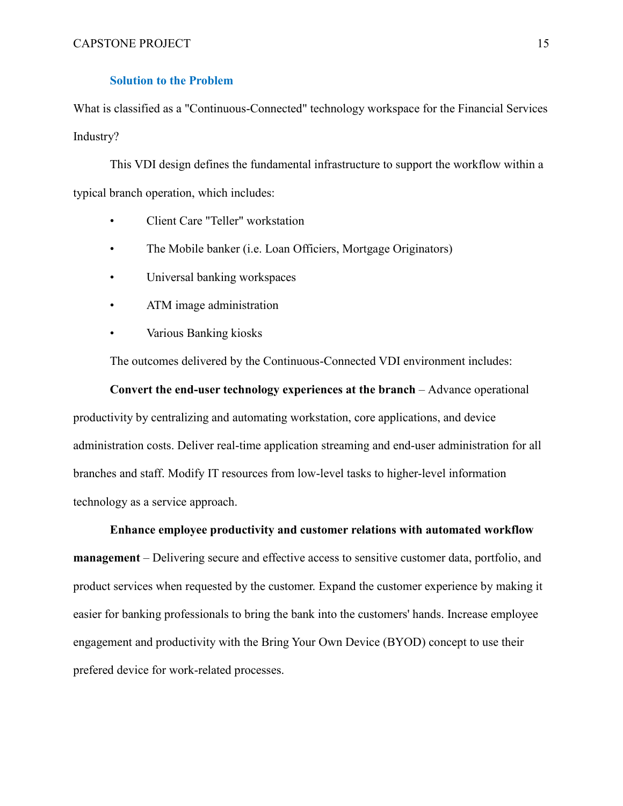### **Solution to the Problem**

<span id="page-14-0"></span>What is classified as a "Continuous-Connected" technology workspace for the Financial Services Industry?

This VDI design defines the fundamental infrastructure to support the workflow within a typical branch operation, which includes:

- Client Care "Teller" workstation
- The Mobile banker (i.e. Loan Officiers, Mortgage Originators)
- Universal banking workspaces
- ATM image administration
- Various Banking kiosks

The outcomes delivered by the Continuous-Connected VDI environment includes:

**Convert the end-user technology experiences at the branch** – Advance operational productivity by centralizing and automating workstation, core applications, and device administration costs. Deliver real-time application streaming and end-user administration for all branches and staff. Modify IT resources from low-level tasks to higher-level information technology as a service approach.

**Enhance employee productivity and customer relations with automated workflow management** – Delivering secure and effective access to sensitive customer data, portfolio, and product services when requested by the customer. Expand the customer experience by making it easier for banking professionals to bring the bank into the customers' hands. Increase employee engagement and productivity with the Bring Your Own Device (BYOD) concept to use their prefered device for work-related processes.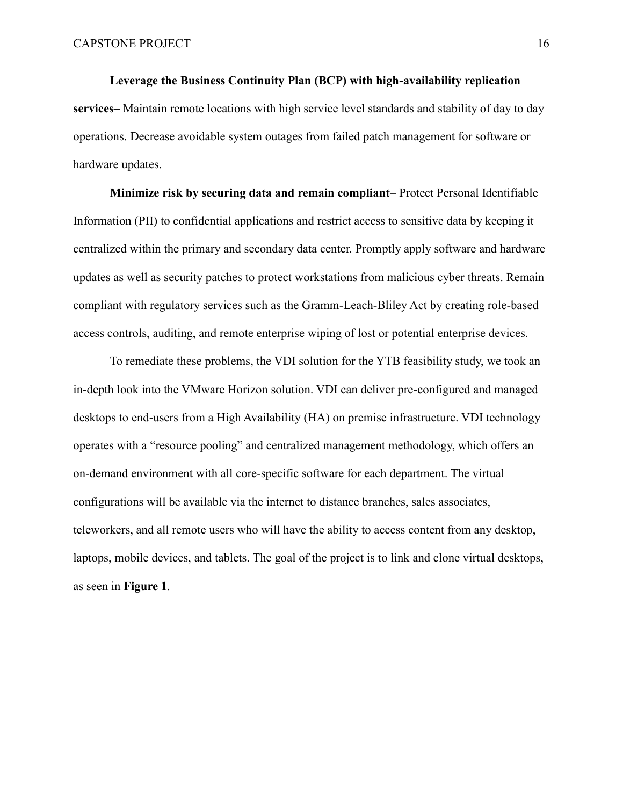**Leverage the Business Continuity Plan (BCP) with high-availability replication services–** Maintain remote locations with high service level standards and stability of day to day operations. Decrease avoidable system outages from failed patch management for software or hardware updates.

**Minimize risk by securing data and remain compliant**– Protect Personal Identifiable Information (PII) to confidential applications and restrict access to sensitive data by keeping it centralized within the primary and secondary data center. Promptly apply software and hardware updates as well as security patches to protect workstations from malicious cyber threats. Remain compliant with regulatory services such as the Gramm-Leach-Bliley Act by creating role-based access controls, auditing, and remote enterprise wiping of lost or potential enterprise devices.

To remediate these problems, the VDI solution for the YTB feasibility study, we took an in-depth look into the VMware Horizon solution. VDI can deliver pre-configured and managed desktops to end-users from a High Availability (HA) on premise infrastructure. VDI technology operates with a "resource pooling" and centralized management methodology, which offers an on-demand environment with all core-specific software for each department. The virtual configurations will be available via the internet to distance branches, sales associates, teleworkers, and all remote users who will have the ability to access content from any desktop, laptops, mobile devices, and tablets. The goal of the project is to link and clone virtual desktops, as seen in **Figure 1**.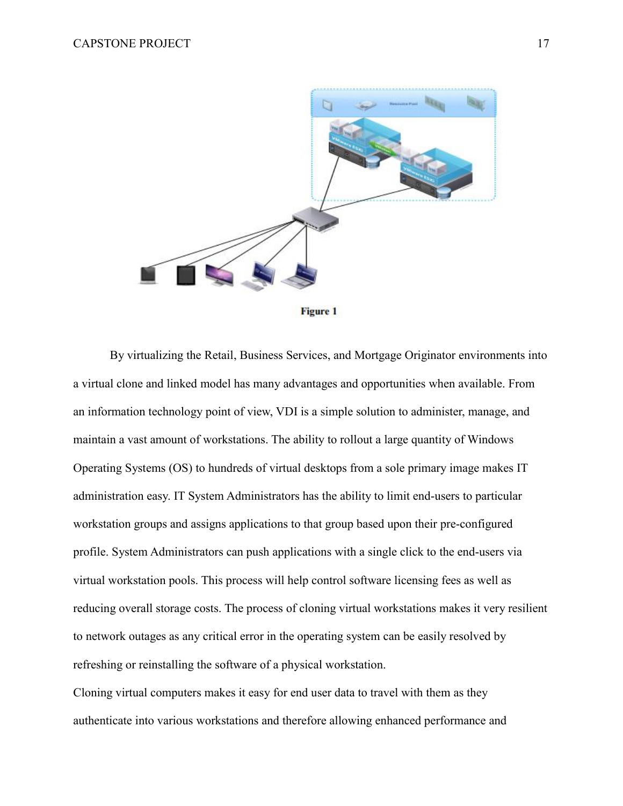

**Figure 1** 

By virtualizing the Retail, Business Services, and Mortgage Originator environments into a virtual clone and linked model has many advantages and opportunities when available. From an information technology point of view, VDI is a simple solution to administer, manage, and maintain a vast amount of workstations. The ability to rollout a large quantity of Windows Operating Systems (OS) to hundreds of virtual desktops from a sole primary image makes IT administration easy. IT System Administrators has the ability to limit end-users to particular workstation groups and assigns applications to that group based upon their pre-configured profile. System Administrators can push applications with a single click to the end-users via virtual workstation pools. This process will help control software licensing fees as well as reducing overall storage costs. The process of cloning virtual workstations makes it very resilient to network outages as any critical error in the operating system can be easily resolved by refreshing or reinstalling the software of a physical workstation.

Cloning virtual computers makes it easy for end user data to travel with them as they authenticate into various workstations and therefore allowing enhanced performance and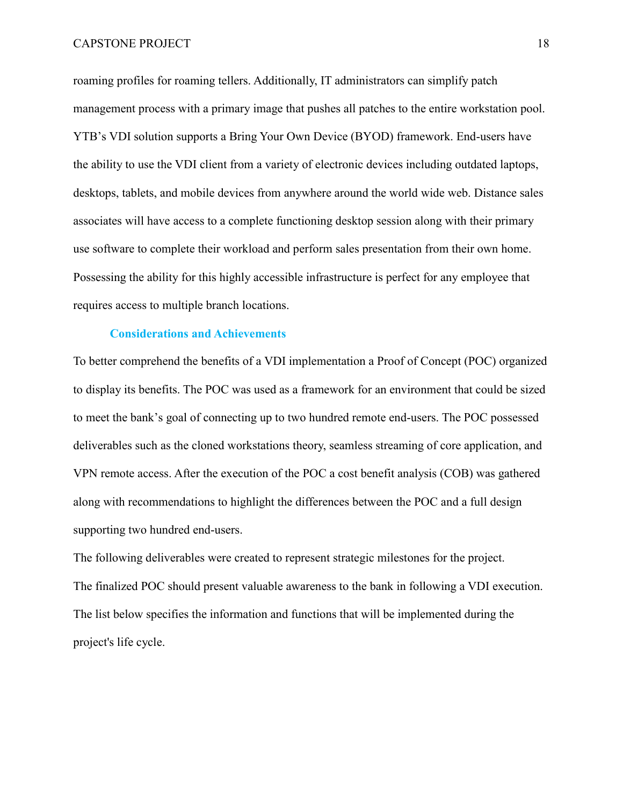roaming profiles for roaming tellers. Additionally, IT administrators can simplify patch management process with a primary image that pushes all patches to the entire workstation pool. YTB's VDI solution supports a Bring Your Own Device (BYOD) framework. End-users have the ability to use the VDI client from a variety of electronic devices including outdated laptops, desktops, tablets, and mobile devices from anywhere around the world wide web. Distance sales associates will have access to a complete functioning desktop session along with their primary use software to complete their workload and perform sales presentation from their own home. Possessing the ability for this highly accessible infrastructure is perfect for any employee that requires access to multiple branch locations.

### **Considerations and Achievements**

<span id="page-17-0"></span>To better comprehend the benefits of a VDI implementation a Proof of Concept (POC) organized to display its benefits. The POC was used as a framework for an environment that could be sized to meet the bank's goal of connecting up to two hundred remote end-users. The POC possessed deliverables such as the cloned workstations theory, seamless streaming of core application, and VPN remote access. After the execution of the POC a cost benefit analysis (COB) was gathered along with recommendations to highlight the differences between the POC and a full design supporting two hundred end-users.

The following deliverables were created to represent strategic milestones for the project. The finalized POC should present valuable awareness to the bank in following a VDI execution. The list below specifies the information and functions that will be implemented during the project's life cycle.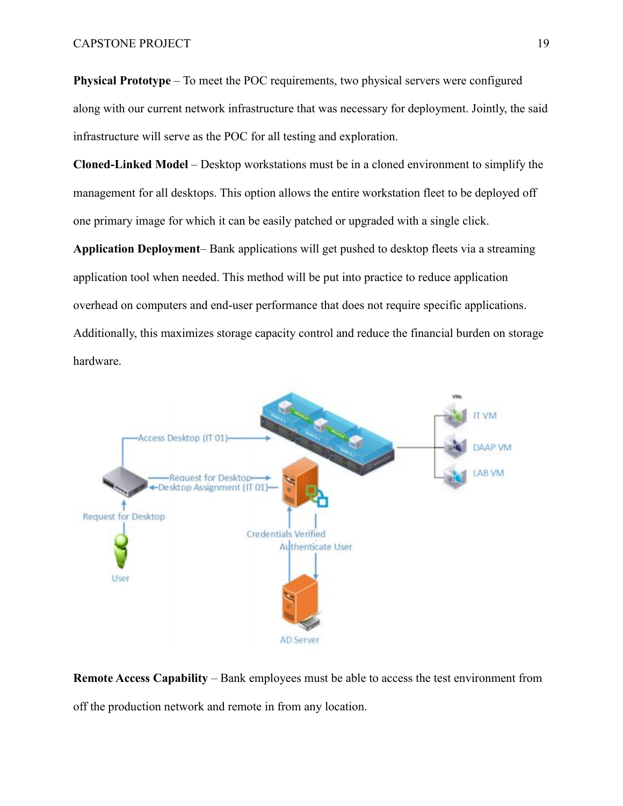**Physical Prototype** – To meet the POC requirements, two physical servers were configured along with our current network infrastructure that was necessary for deployment. Jointly, the said infrastructure will serve as the POC for all testing and exploration.

**Cloned-Linked Model** – Desktop workstations must be in a cloned environment to simplify the management for all desktops. This option allows the entire workstation fleet to be deployed off one primary image for which it can be easily patched or upgraded with a single click.

**Application Deployment**– Bank applications will get pushed to desktop fleets via a streaming application tool when needed. This method will be put into practice to reduce application overhead on computers and end-user performance that does not require specific applications. Additionally, this maximizes storage capacity control and reduce the financial burden on storage hardware.



**Remote Access Capability** – Bank employees must be able to access the test environment from off the production network and remote in from any location.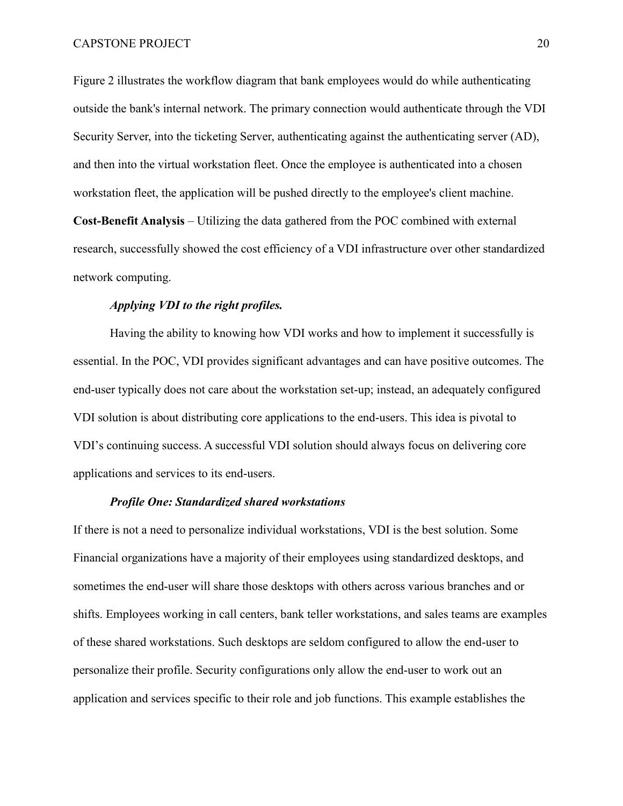Figure 2 illustrates the workflow diagram that bank employees would do while authenticating outside the bank's internal network. The primary connection would authenticate through the VDI Security Server, into the ticketing Server, authenticating against the authenticating server (AD), and then into the virtual workstation fleet. Once the employee is authenticated into a chosen workstation fleet, the application will be pushed directly to the employee's client machine.

**Cost-Benefit Analysis** – Utilizing the data gathered from the POC combined with external research, successfully showed the cost efficiency of a VDI infrastructure over other standardized network computing.

### *Applying VDI to the right profiles.*

Having the ability to knowing how VDI works and how to implement it successfully is essential. In the POC, VDI provides significant advantages and can have positive outcomes. The end-user typically does not care about the workstation set-up; instead, an adequately configured VDI solution is about distributing core applications to the end-users. This idea is pivotal to VDI's continuing success. A successful VDI solution should always focus on delivering core applications and services to its end-users.

#### *Profile One: Standardized shared workstations*

If there is not a need to personalize individual workstations, VDI is the best solution. Some Financial organizations have a majority of their employees using standardized desktops, and sometimes the end-user will share those desktops with others across various branches and or shifts. Employees working in call centers, bank teller workstations, and sales teams are examples of these shared workstations. Such desktops are seldom configured to allow the end-user to personalize their profile. Security configurations only allow the end-user to work out an application and services specific to their role and job functions. This example establishes the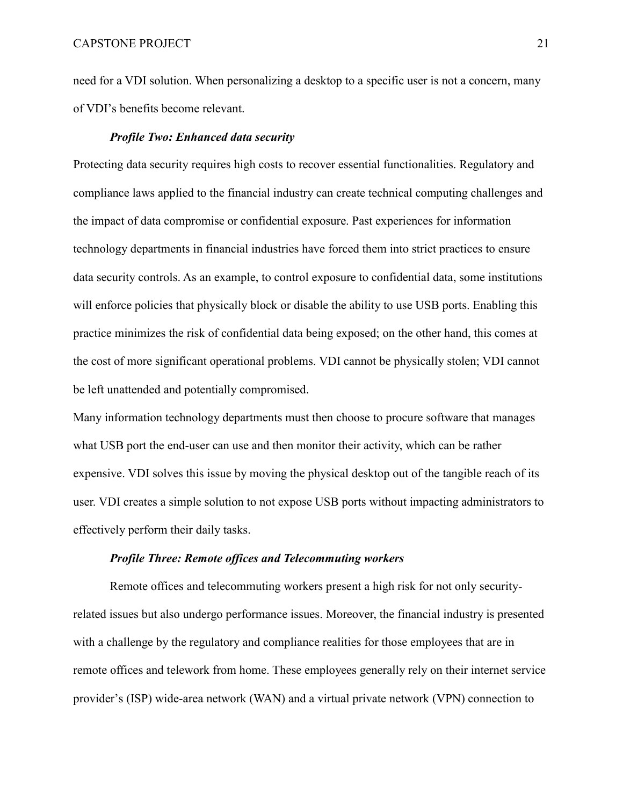need for a VDI solution. When personalizing a desktop to a specific user is not a concern, many of VDI's benefits become relevant.

### *Profile Two: Enhanced data security*

Protecting data security requires high costs to recover essential functionalities. Regulatory and compliance laws applied to the financial industry can create technical computing challenges and the impact of data compromise or confidential exposure. Past experiences for information technology departments in financial industries have forced them into strict practices to ensure data security controls. As an example, to control exposure to confidential data, some institutions will enforce policies that physically block or disable the ability to use USB ports. Enabling this practice minimizes the risk of confidential data being exposed; on the other hand, this comes at the cost of more significant operational problems. VDI cannot be physically stolen; VDI cannot be left unattended and potentially compromised.

Many information technology departments must then choose to procure software that manages what USB port the end-user can use and then monitor their activity, which can be rather expensive. VDI solves this issue by moving the physical desktop out of the tangible reach of its user. VDI creates a simple solution to not expose USB ports without impacting administrators to effectively perform their daily tasks.

### *Profile Three: Remote offices and Telecommuting workers*

Remote offices and telecommuting workers present a high risk for not only securityrelated issues but also undergo performance issues. Moreover, the financial industry is presented with a challenge by the regulatory and compliance realities for those employees that are in remote offices and telework from home. These employees generally rely on their internet service provider's (ISP) wide-area network (WAN) and a virtual private network (VPN) connection to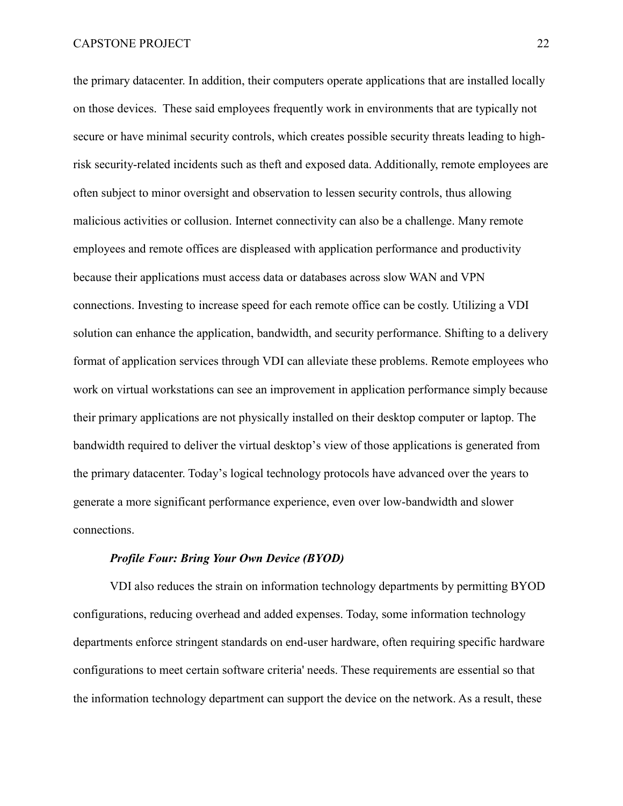the primary datacenter. In addition, their computers operate applications that are installed locally on those devices. These said employees frequently work in environments that are typically not secure or have minimal security controls, which creates possible security threats leading to highrisk security-related incidents such as theft and exposed data. Additionally, remote employees are often subject to minor oversight and observation to lessen security controls, thus allowing malicious activities or collusion. Internet connectivity can also be a challenge. Many remote employees and remote offices are displeased with application performance and productivity because their applications must access data or databases across slow WAN and VPN connections. Investing to increase speed for each remote office can be costly. Utilizing a VDI solution can enhance the application, bandwidth, and security performance. Shifting to a delivery format of application services through VDI can alleviate these problems. Remote employees who work on virtual workstations can see an improvement in application performance simply because their primary applications are not physically installed on their desktop computer or laptop. The bandwidth required to deliver the virtual desktop's view of those applications is generated from the primary datacenter. Today's logical technology protocols have advanced over the years to generate a more significant performance experience, even over low-bandwidth and slower connections.

### *Profile Four: Bring Your Own Device (BYOD)*

VDI also reduces the strain on information technology departments by permitting BYOD configurations, reducing overhead and added expenses. Today, some information technology departments enforce stringent standards on end-user hardware, often requiring specific hardware configurations to meet certain software criteria' needs. These requirements are essential so that the information technology department can support the device on the network. As a result, these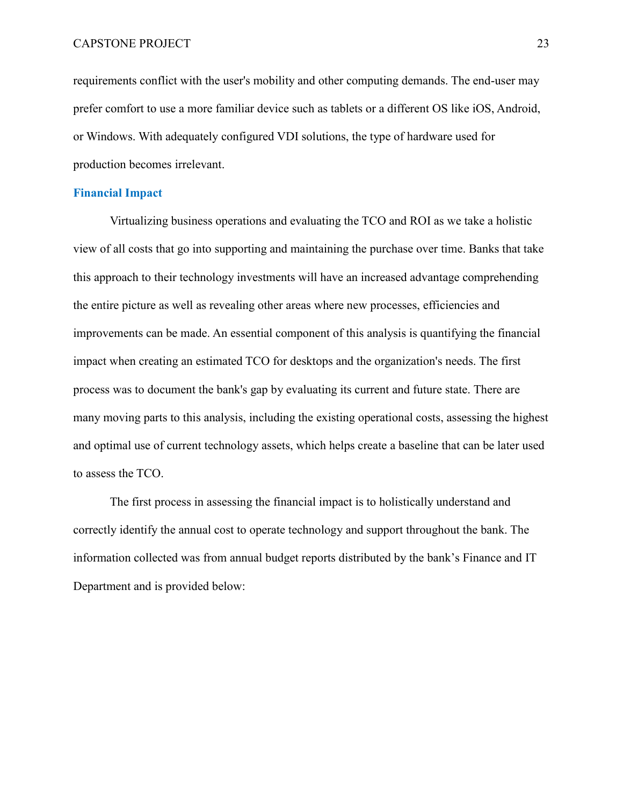requirements conflict with the user's mobility and other computing demands. The end-user may prefer comfort to use a more familiar device such as tablets or a different OS like iOS, Android, or Windows. With adequately configured VDI solutions, the type of hardware used for production becomes irrelevant.

### <span id="page-22-0"></span>**Financial Impact**

Virtualizing business operations and evaluating the TCO and ROI as we take a holistic view of all costs that go into supporting and maintaining the purchase over time. Banks that take this approach to their technology investments will have an increased advantage comprehending the entire picture as well as revealing other areas where new processes, efficiencies and improvements can be made. An essential component of this analysis is quantifying the financial impact when creating an estimated TCO for desktops and the organization's needs. The first process was to document the bank's gap by evaluating its current and future state. There are many moving parts to this analysis, including the existing operational costs, assessing the highest and optimal use of current technology assets, which helps create a baseline that can be later used to assess the TCO.

The first process in assessing the financial impact is to holistically understand and correctly identify the annual cost to operate technology and support throughout the bank. The information collected was from annual budget reports distributed by the bank's Finance and IT Department and is provided below: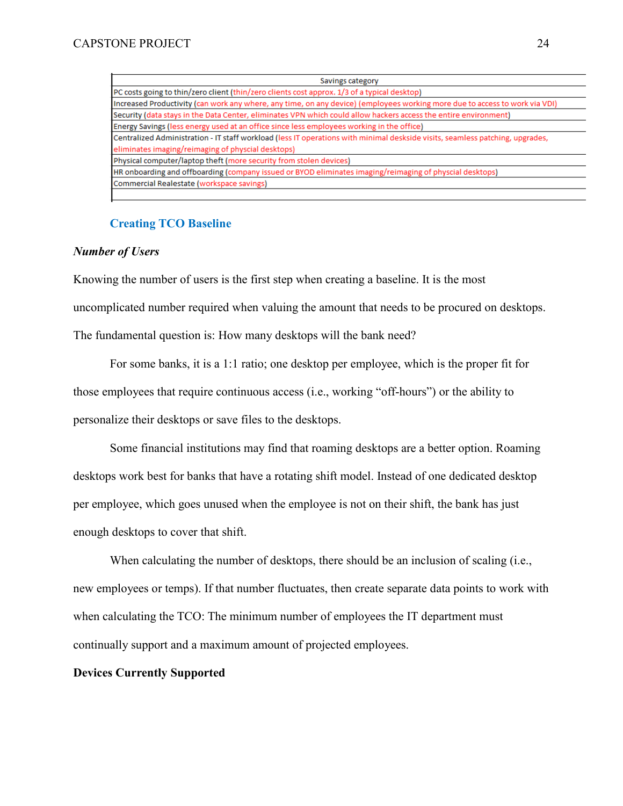| Savings category                                                                                                              |  |  |  |  |  |
|-------------------------------------------------------------------------------------------------------------------------------|--|--|--|--|--|
| PC costs going to thin/zero client (thin/zero clients cost approx. 1/3 of a typical desktop)                                  |  |  |  |  |  |
| Increased Productivity (can work any where, any time, on any device) (employees working more due to access to work via VDI)   |  |  |  |  |  |
| Security (data stays in the Data Center, eliminates VPN which could allow hackers access the entire environment)              |  |  |  |  |  |
| Energy Savings (less energy used at an office since less employees working in the office)                                     |  |  |  |  |  |
| Centralized Administration - IT staff workload (less IT operations with minimal deskside visits, seamless patching, upgrades, |  |  |  |  |  |
| eliminates imaging/reimaging of physcial desktops)                                                                            |  |  |  |  |  |
| Physical computer/laptop theft (more security from stolen devices)                                                            |  |  |  |  |  |
| HR onboarding and offboarding (company issued or BYOD eliminates imaging/reimaging of physcial desktops)                      |  |  |  |  |  |
| Commercial Realestate (workspace savings)                                                                                     |  |  |  |  |  |
|                                                                                                                               |  |  |  |  |  |

## **Creating TCO Baseline**

## <span id="page-23-0"></span>*Number of Users*

Knowing the number of users is the first step when creating a baseline. It is the most uncomplicated number required when valuing the amount that needs to be procured on desktops. The fundamental question is: How many desktops will the bank need?

For some banks, it is a 1:1 ratio; one desktop per employee, which is the proper fit for those employees that require continuous access (i.e., working "off-hours") or the ability to personalize their desktops or save files to the desktops.

Some financial institutions may find that roaming desktops are a better option. Roaming desktops work best for banks that have a rotating shift model. Instead of one dedicated desktop per employee, which goes unused when the employee is not on their shift, the bank has just enough desktops to cover that shift.

When calculating the number of desktops, there should be an inclusion of scaling (i.e., new employees or temps). If that number fluctuates, then create separate data points to work with when calculating the TCO: The minimum number of employees the IT department must continually support and a maximum amount of projected employees.

## **Devices Currently Supported**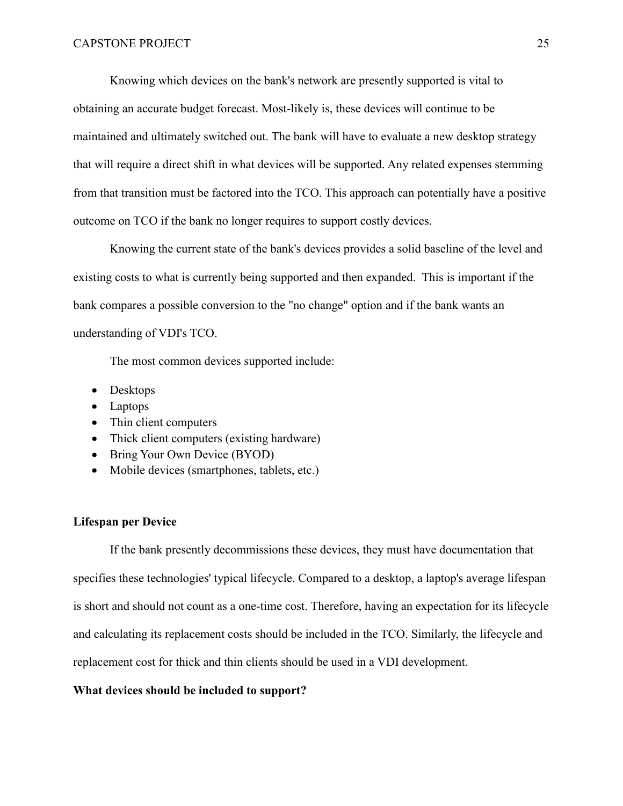Knowing which devices on the bank's network are presently supported is vital to obtaining an accurate budget forecast. Most-likely is, these devices will continue to be maintained and ultimately switched out. The bank will have to evaluate a new desktop strategy that will require a direct shift in what devices will be supported. Any related expenses stemming from that transition must be factored into the TCO. This approach can potentially have a positive outcome on TCO if the bank no longer requires to support costly devices.

Knowing the current state of the bank's devices provides a solid baseline of the level and existing costs to what is currently being supported and then expanded. This is important if the bank compares a possible conversion to the "no change" option and if the bank wants an understanding of VDI's TCO.

The most common devices supported include:

- Desktops
- Laptops
- Thin client computers
- Thick client computers (existing hardware)
- Bring Your Own Device (BYOD)
- Mobile devices (smartphones, tablets, etc.)

### **Lifespan per Device**

If the bank presently decommissions these devices, they must have documentation that specifies these technologies' typical lifecycle. Compared to a desktop, a laptop's average lifespan is short and should not count as a one-time cost. Therefore, having an expectation for its lifecycle and calculating its replacement costs should be included in the TCO. Similarly, the lifecycle and replacement cost for thick and thin clients should be used in a VDI development.

### **What devices should be included to support?**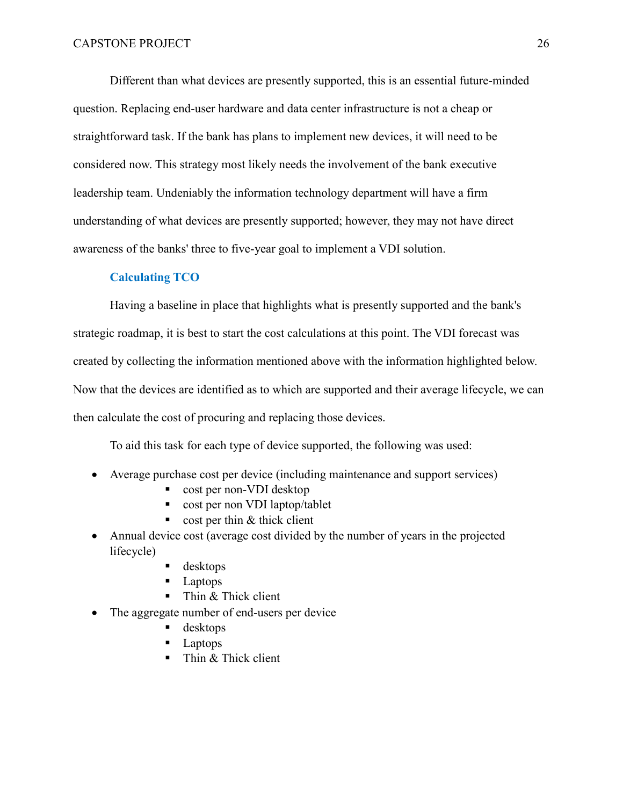Different than what devices are presently supported, this is an essential future-minded question. Replacing end-user hardware and data center infrastructure is not a cheap or straightforward task. If the bank has plans to implement new devices, it will need to be considered now. This strategy most likely needs the involvement of the bank executive leadership team. Undeniably the information technology department will have a firm understanding of what devices are presently supported; however, they may not have direct awareness of the banks' three to five-year goal to implement a VDI solution.

### **Calculating TCO**

<span id="page-25-0"></span>Having a baseline in place that highlights what is presently supported and the bank's strategic roadmap, it is best to start the cost calculations at this point. The VDI forecast was created by collecting the information mentioned above with the information highlighted below. Now that the devices are identified as to which are supported and their average lifecycle, we can then calculate the cost of procuring and replacing those devices.

To aid this task for each type of device supported, the following was used:

- Average purchase cost per device (including maintenance and support services)
	- cost per non-VDI desktop
	- cost per non VDI laptop/tablet
	- $\bullet$  cost per thin & thick client
- Annual device cost (average cost divided by the number of years in the projected lifecycle)
	- desktops
	- **Laptops**
	- Thin & Thick client
- The aggregate number of end-users per device
	- desktops
	- Laptops
	- $\blacksquare$  Thin & Thick client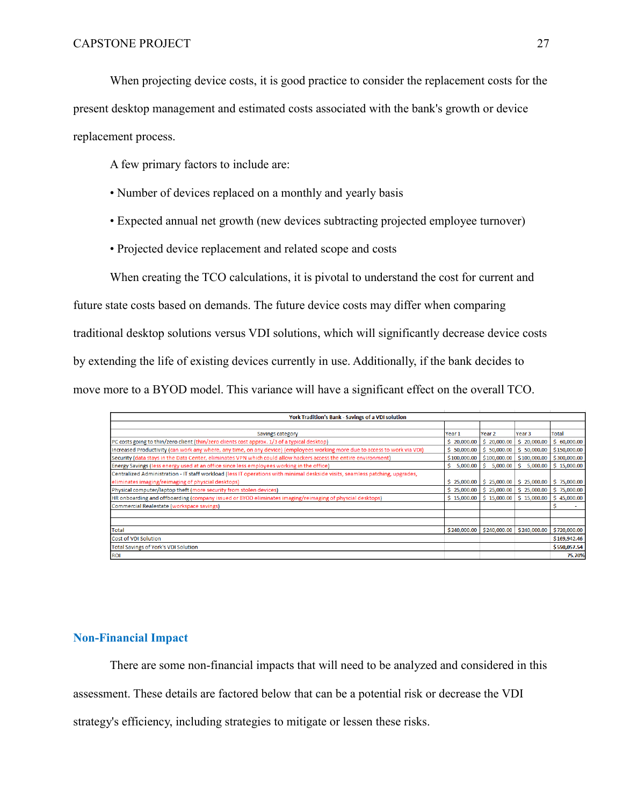When projecting device costs, it is good practice to consider the replacement costs for the

present desktop management and estimated costs associated with the bank's growth or device replacement process.

A few primary factors to include are:

- Number of devices replaced on a monthly and yearly basis
- Expected annual net growth (new devices subtracting projected employee turnover)
- Projected device replacement and related scope and costs

When creating the TCO calculations, it is pivotal to understand the cost for current and

future state costs based on demands. The future device costs may differ when comparing traditional desktop solutions versus VDI solutions, which will significantly decrease device costs by extending the life of existing devices currently in use. Additionally, if the bank decides to move more to a BYOD model. This variance will have a significant effect on the overall TCO.

| York Tradition's Bank - Savings of a VDI solution                                                                             |                   |                   |                |              |  |  |  |  |
|-------------------------------------------------------------------------------------------------------------------------------|-------------------|-------------------|----------------|--------------|--|--|--|--|
|                                                                                                                               |                   |                   |                |              |  |  |  |  |
| Savings category                                                                                                              | Year <sub>1</sub> | Year <sub>2</sub> | Year 3         | Total        |  |  |  |  |
| PC costs going to thin/zero client (thin/zero clients cost approx. 1/3 of a typical desktop)                                  | \$20,000.00       | \$20,000.00       | \$20,000.00    | \$60,000.00  |  |  |  |  |
| Increased Productivity (can work any where, any time, on any device) (employees working more due to access to work via VDI)   | \$50,000.00       | \$50,000.00       | \$50,000.00    | \$150,000.00 |  |  |  |  |
| Security (data stays in the Data Center, eliminates VPN which could allow hackers access the entire environment)              | \$100,000.00      | \$100,000.00      | \$100,000.00   | \$300,000.00 |  |  |  |  |
| Energy Savings (less energy used at an office since less employees working in the office)                                     | \$5,000.00        | \$5,000.00        | -S<br>5,000.00 | \$15,000.00  |  |  |  |  |
| Centralized Administration - IT staff workload (less IT operations with minimal deskside visits, seamless patching, upgrades, |                   |                   |                |              |  |  |  |  |
| eliminates imaging/reimaging of physcial desktops)                                                                            | \$25,000.00       | \$25,000.00       | \$25,000.00    | \$75,000.00  |  |  |  |  |
| Physical computer/laptop theft (more security from stolen devices)                                                            | \$25,000.00       | \$25,000.00       | \$25,000.00    | \$75,000.00  |  |  |  |  |
| HR onboarding and offboarding (company issued or BYOD eliminates imaging/reimaging of physcial desktops)                      | \$15,000.00       | \$15,000.00       | \$15,000.00    | \$45,000.00  |  |  |  |  |
| Commercial Realestate (workspace savings)                                                                                     |                   |                   |                | s            |  |  |  |  |
|                                                                                                                               |                   |                   |                |              |  |  |  |  |
|                                                                                                                               |                   |                   |                |              |  |  |  |  |
| <b>Total</b>                                                                                                                  | \$240,000.00      | \$240,000.00      | \$240,000.00   | \$720,000.00 |  |  |  |  |
| <b>Cost of VDI Solution</b>                                                                                                   |                   |                   |                | \$169,942.46 |  |  |  |  |
| <b>Total Savings of York's VDI Solution</b>                                                                                   |                   |                   |                | \$550,057.54 |  |  |  |  |
| <b>ROI</b>                                                                                                                    |                   |                   |                | 75.70%       |  |  |  |  |

# <span id="page-26-0"></span>**Non-Financial Impact**

There are some non-financial impacts that will need to be analyzed and considered in this

assessment. These details are factored below that can be a potential risk or decrease the VDI

strategy's efficiency, including strategies to mitigate or lessen these risks.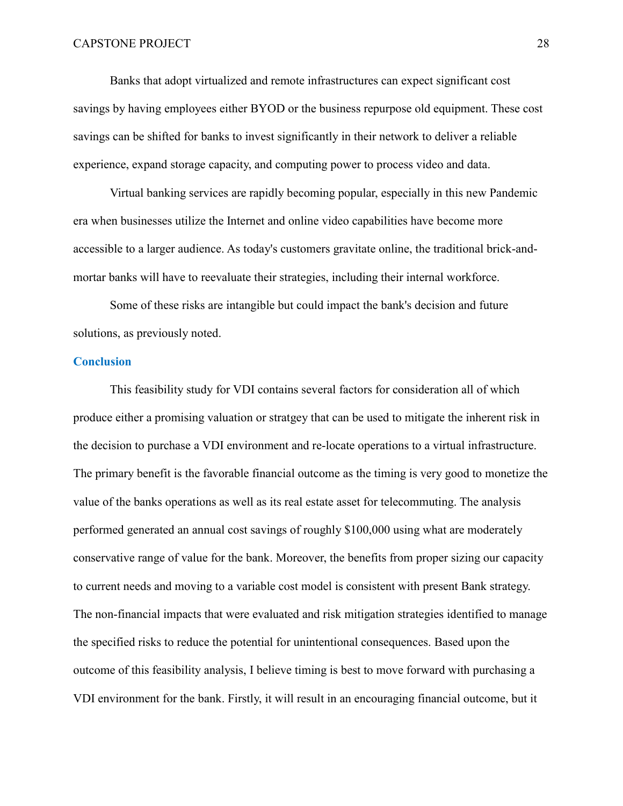Banks that adopt virtualized and remote infrastructures can expect significant cost savings by having employees either BYOD or the business repurpose old equipment. These cost savings can be shifted for banks to invest significantly in their network to deliver a reliable experience, expand storage capacity, and computing power to process video and data.

Virtual banking services are rapidly becoming popular, especially in this new Pandemic era when businesses utilize the Internet and online video capabilities have become more accessible to a larger audience. As today's customers gravitate online, the traditional brick-andmortar banks will have to reevaluate their strategies, including their internal workforce.

Some of these risks are intangible but could impact the bank's decision and future solutions, as previously noted.

#### <span id="page-27-0"></span>**Conclusion**

This feasibility study for VDI contains several factors for consideration all of which produce either a promising valuation or stratgey that can be used to mitigate the inherent risk in the decision to purchase a VDI environment and re-locate operations to a virtual infrastructure. The primary benefit is the favorable financial outcome as the timing is very good to monetize the value of the banks operations as well as its real estate asset for telecommuting. The analysis performed generated an annual cost savings of roughly \$100,000 using what are moderately conservative range of value for the bank. Moreover, the benefits from proper sizing our capacity to current needs and moving to a variable cost model is consistent with present Bank strategy. The non-financial impacts that were evaluated and risk mitigation strategies identified to manage the specified risks to reduce the potential for unintentional consequences. Based upon the outcome of this feasibility analysis, I believe timing is best to move forward with purchasing a VDI environment for the bank. Firstly, it will result in an encouraging financial outcome, but it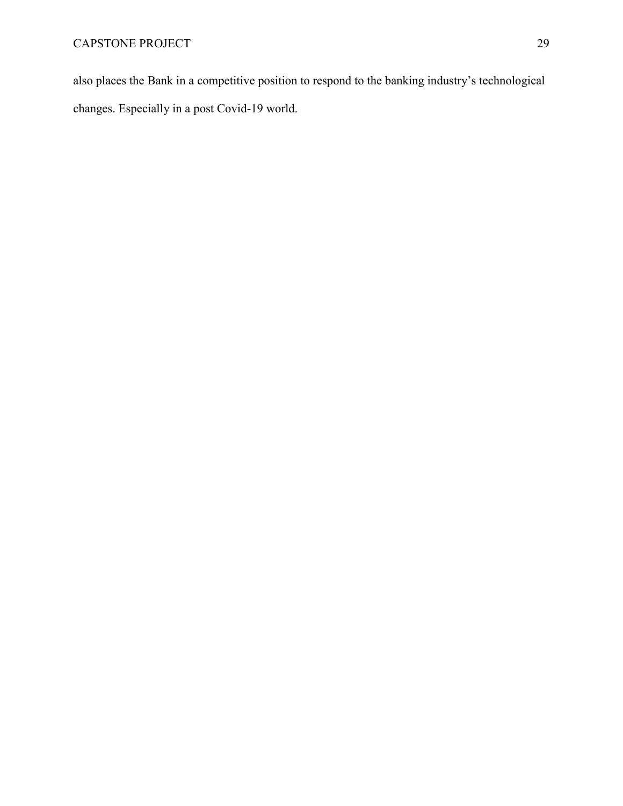also places the Bank in a competitive position to respond to the banking industry's technological changes. Especially in a post Covid-19 world.